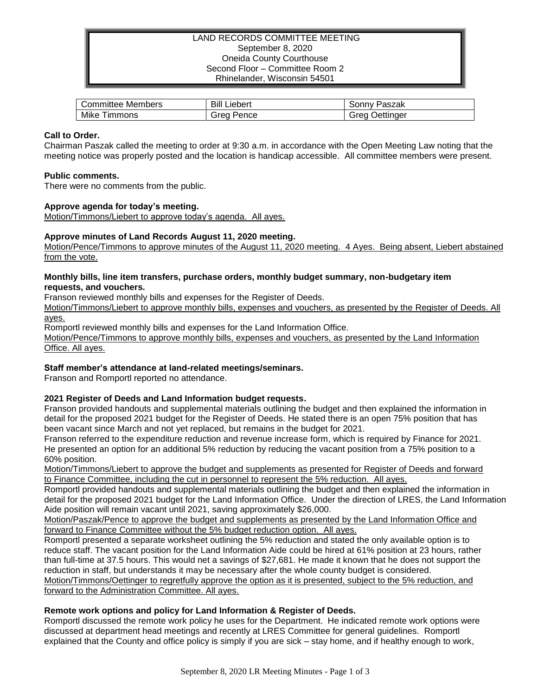# LAND RECORDS COMMITTEE MEETING September 8, 2020 Oneida County Courthouse Second Floor – Committee Room 2 Rhinelander, Wisconsin 54501

| Members   | Bill    | Paszak    |
|-----------|---------|-----------|
| Committee | ∟iebert | , onnv    |
| Mike      | srea    | Jettinaer |
| I immons  | Pence   | oreo      |

## **Call to Order.**

Chairman Paszak called the meeting to order at 9:30 a.m. in accordance with the Open Meeting Law noting that the meeting notice was properly posted and the location is handicap accessible. All committee members were present.

## **Public comments.**

There were no comments from the public.

## **Approve agenda for today's meeting.**

Motion/Timmons/Liebert to approve today's agenda. All ayes.

# **Approve minutes of Land Records August 11, 2020 meeting.**

Motion/Pence/Timmons to approve minutes of the August 11, 2020 meeting. 4 Ayes. Being absent, Liebert abstained from the vote.

## **Monthly bills, line item transfers, purchase orders, monthly budget summary, non-budgetary item requests, and vouchers.**

Franson reviewed monthly bills and expenses for the Register of Deeds.

Motion/Timmons/Liebert to approve monthly bills, expenses and vouchers, as presented by the Register of Deeds. All ayes.

Romportl reviewed monthly bills and expenses for the Land Information Office.

Motion/Pence/Timmons to approve monthly bills, expenses and vouchers, as presented by the Land Information Office. All ayes.

## **Staff member's attendance at land-related meetings/seminars.**

Franson and Romportl reported no attendance.

## **2021 Register of Deeds and Land Information budget requests.**

Franson provided handouts and supplemental materials outlining the budget and then explained the information in detail for the proposed 2021 budget for the Register of Deeds. He stated there is an open 75% position that has been vacant since March and not yet replaced, but remains in the budget for 2021.

Franson referred to the expenditure reduction and revenue increase form, which is required by Finance for 2021. He presented an option for an additional 5% reduction by reducing the vacant position from a 75% position to a 60% position.

Motion/Timmons/Liebert to approve the budget and supplements as presented for Register of Deeds and forward to Finance Committee, including the cut in personnel to represent the 5% reduction. All ayes.

Romportl provided handouts and supplemental materials outlining the budget and then explained the information in detail for the proposed 2021 budget for the Land Information Office. Under the direction of LRES, the Land Information Aide position will remain vacant until 2021, saving approximately \$26,000.

Motion/Paszak/Pence to approve the budget and supplements as presented by the Land Information Office and forward to Finance Committee without the 5% budget reduction option. All ayes.

Romportl presented a separate worksheet outlining the 5% reduction and stated the only available option is to reduce staff. The vacant position for the Land Information Aide could be hired at 61% position at 23 hours, rather than full-time at 37.5 hours. This would net a savings of \$27,681. He made it known that he does not support the reduction in staff, but understands it may be necessary after the whole county budget is considered. Motion/Timmons/Oettinger to regretfully approve the option as it is presented, subject to the 5% reduction, and forward to the Administration Committee. All ayes.

## **Remote work options and policy for Land Information & Register of Deeds.**

Romportl discussed the remote work policy he uses for the Department. He indicated remote work options were discussed at department head meetings and recently at LRES Committee for general guidelines. Romportl explained that the County and office policy is simply if you are sick – stay home, and if healthy enough to work,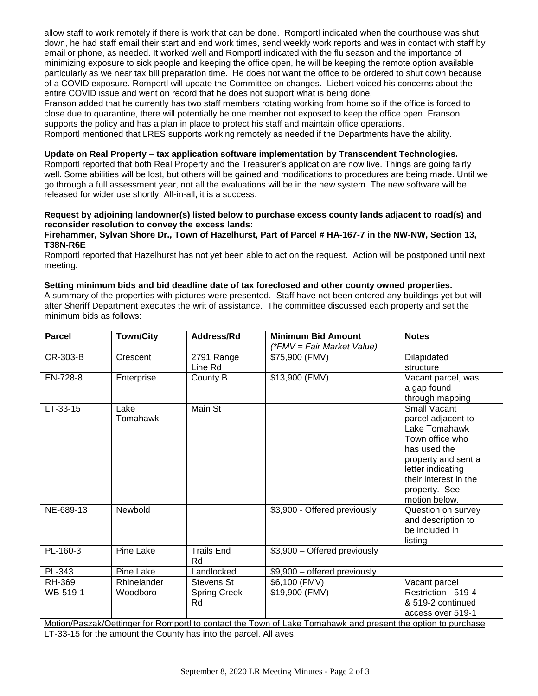allow staff to work remotely if there is work that can be done. Romportl indicated when the courthouse was shut down, he had staff email their start and end work times, send weekly work reports and was in contact with staff by email or phone, as needed. It worked well and Romportl indicated with the flu season and the importance of minimizing exposure to sick people and keeping the office open, he will be keeping the remote option available particularly as we near tax bill preparation time. He does not want the office to be ordered to shut down because of a COVID exposure. Romportl will update the Committee on changes. Liebert voiced his concerns about the entire COVID issue and went on record that he does not support what is being done.

Franson added that he currently has two staff members rotating working from home so if the office is forced to close due to quarantine, there will potentially be one member not exposed to keep the office open. Franson supports the policy and has a plan in place to protect his staff and maintain office operations. Romportl mentioned that LRES supports working remotely as needed if the Departments have the ability.

#### **Update on Real Property – tax application software implementation by Transcendent Technologies.**

Romportl reported that both Real Property and the Treasurer's application are now live. Things are going fairly well. Some abilities will be lost, but others will be gained and modifications to procedures are being made. Until we go through a full assessment year, not all the evaluations will be in the new system. The new software will be released for wider use shortly. All-in-all, it is a success.

# **Request by adjoining landowner(s) listed below to purchase excess county lands adjacent to road(s) and reconsider resolution to convey the excess lands:**

#### **Firehammer, Sylvan Shore Dr., Town of Hazelhurst, Part of Parcel # HA-167-7 in the NW-NW, Section 13, T38N-R6E**

Romportl reported that Hazelhurst has not yet been able to act on the request. Action will be postponed until next meeting.

#### **Setting minimum bids and bid deadline date of tax foreclosed and other county owned properties.**

A summary of the properties with pictures were presented. Staff have not been entered any buildings yet but will after Sheriff Department executes the writ of assistance. The committee discussed each property and set the minimum bids as follows:

| <b>Parcel</b>                                                                                                | <b>Town/City</b> | <b>Address/Rd</b>         | <b>Minimum Bid Amount</b><br>(*FMV = Fair Market Value) | <b>Notes</b>                                                                                                                                                                                         |  |
|--------------------------------------------------------------------------------------------------------------|------------------|---------------------------|---------------------------------------------------------|------------------------------------------------------------------------------------------------------------------------------------------------------------------------------------------------------|--|
| CR-303-B                                                                                                     | Crescent         | 2791 Range<br>Line Rd     | \$75,900 (FMV)                                          | Dilapidated<br>structure                                                                                                                                                                             |  |
| EN-728-8                                                                                                     | Enterprise       | County B                  | \$13,900 (FMV)                                          | Vacant parcel, was<br>a gap found<br>through mapping                                                                                                                                                 |  |
| LT-33-15                                                                                                     | Lake<br>Tomahawk | Main St                   |                                                         | <b>Small Vacant</b><br>parcel adjacent to<br>Lake Tomahawk<br>Town office who<br>has used the<br>property and sent a<br>letter indicating<br>their interest in the<br>property. See<br>motion below. |  |
| NE-689-13                                                                                                    | Newbold          |                           | \$3,900 - Offered previously                            | Question on survey<br>and description to<br>be included in<br>listing                                                                                                                                |  |
| PL-160-3                                                                                                     | Pine Lake        | <b>Trails End</b><br>Rd   | \$3,900 - Offered previously                            |                                                                                                                                                                                                      |  |
| PL-343                                                                                                       | Pine Lake        | Landlocked                | \$9,900 - offered previously                            |                                                                                                                                                                                                      |  |
| RH-369                                                                                                       | Rhinelander      | Stevens St                | \$6,100 (FMV)                                           | Vacant parcel                                                                                                                                                                                        |  |
| WB-519-1                                                                                                     | Woodboro         | <b>Spring Creek</b><br>Rd | \$19,900 (FMV)                                          | Restriction - 519-4<br>& 519-2 continued<br>access over 519-1                                                                                                                                        |  |
| Motion/Paszak/Oettinger for Romportl to contact the Town of Lake Tomahawk and present the option to purchase |                  |                           |                                                         |                                                                                                                                                                                                      |  |

LT-33-15 for the amount the County has into the parcel. All ayes.